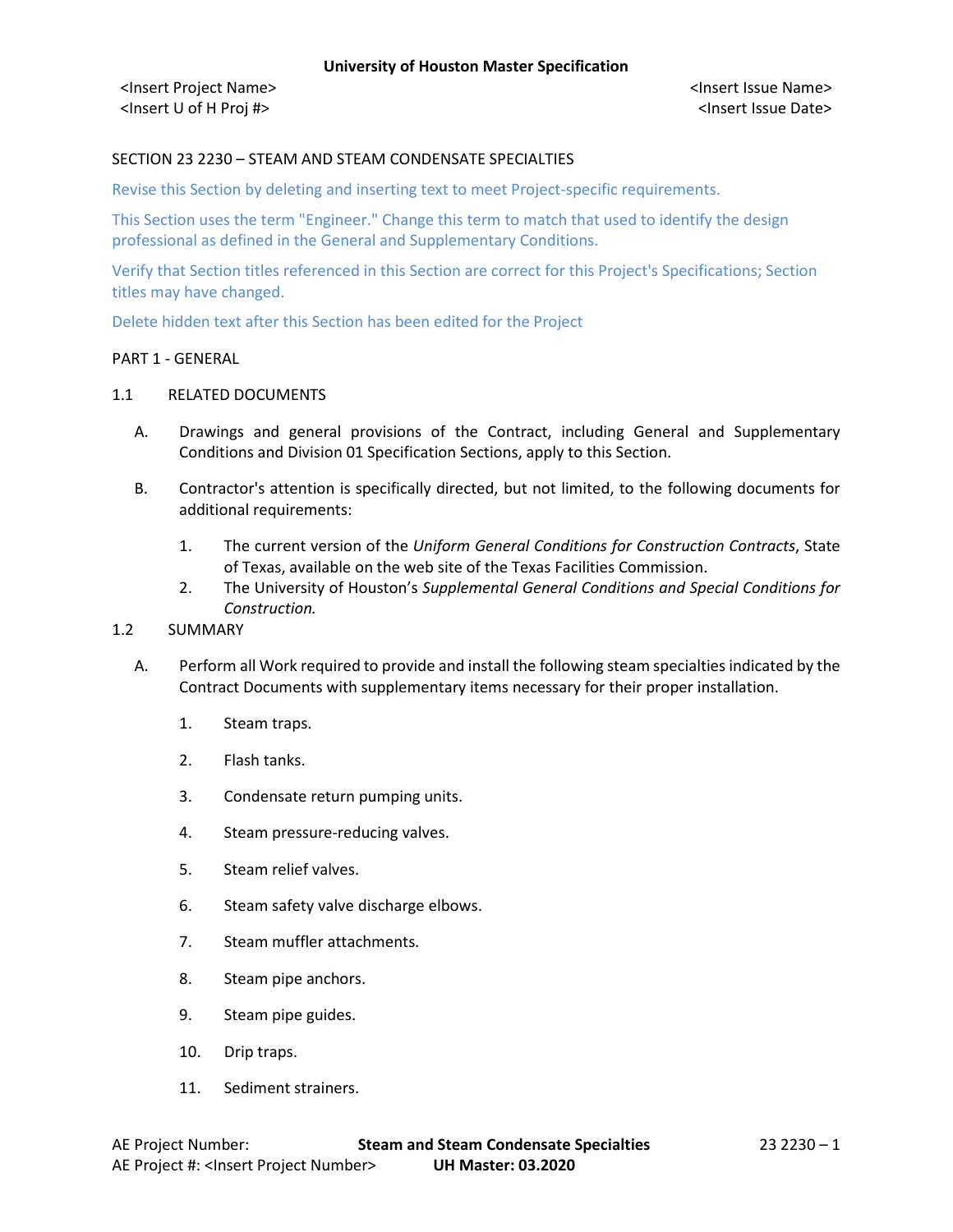## SECTION 23 2230 – STEAM AND STEAM CONDENSATE SPECIALTIES

Revise this Section by deleting and inserting text to meet Project-specific requirements.

This Section uses the term "Engineer." Change this term to match that used to identify the design professional as defined in the General and Supplementary Conditions.

Verify that Section titles referenced in this Section are correct for this Project's Specifications; Section titles may have changed.

Delete hidden text after this Section has been edited for the Project

#### PART 1 - GENERAL

#### 1.1 RELATED DOCUMENTS

- A. Drawings and general provisions of the Contract, including General and Supplementary Conditions and Division 01 Specification Sections, apply to this Section.
- B. Contractor's attention is specifically directed, but not limited, to the following documents for additional requirements:
	- 1. The current version of the *Uniform General Conditions for Construction Contracts*, State of Texas, available on the web site of the Texas Facilities Commission.
	- 2. The University of Houston's *Supplemental General Conditions and Special Conditions for Construction.*

### 1.2 SUMMARY

- A. Perform all Work required to provide and install the following steam specialties indicated by the Contract Documents with supplementary items necessary for their proper installation.
	- 1. Steam traps.
	- 2. Flash tanks.
	- 3. Condensate return pumping units.
	- 4. Steam pressure-reducing valves.
	- 5. Steam relief valves.
	- 6. Steam safety valve discharge elbows.
	- 7. Steam muffler attachments.
	- 8. Steam pipe anchors.
	- 9. Steam pipe guides.
	- 10. Drip traps.
	- 11. Sediment strainers.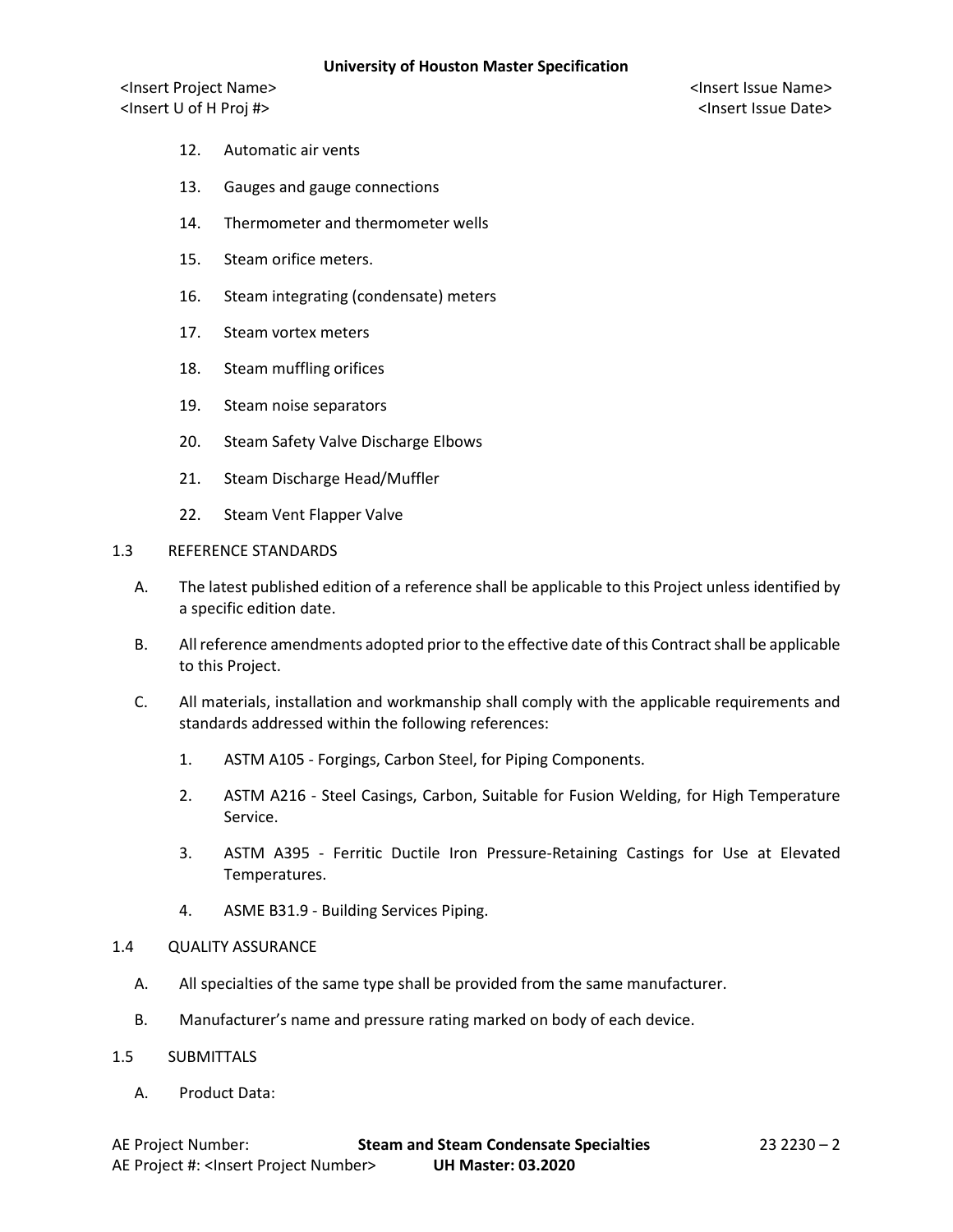- 12. Automatic air vents
- 13. Gauges and gauge connections
- 14. Thermometer and thermometer wells
- 15. Steam orifice meters.
- 16. Steam integrating (condensate) meters
- 17. Steam vortex meters
- 18. Steam muffling orifices
- 19. Steam noise separators
- 20. Steam Safety Valve Discharge Elbows
- 21. Steam Discharge Head/Muffler
- 22. Steam Vent Flapper Valve

#### 1.3 REFERENCE STANDARDS

- A. The latest published edition of a reference shall be applicable to this Project unless identified by a specific edition date.
- B. All reference amendments adopted prior to the effective date of this Contractshall be applicable to this Project.
- C. All materials, installation and workmanship shall comply with the applicable requirements and standards addressed within the following references:
	- 1. ASTM A105 Forgings, Carbon Steel, for Piping Components.
	- 2. ASTM A216 Steel Casings, Carbon, Suitable for Fusion Welding, for High Temperature Service.
	- 3. ASTM A395 Ferritic Ductile Iron Pressure-Retaining Castings for Use at Elevated Temperatures.
	- 4. ASME B31.9 Building Services Piping.

#### 1.4 QUALITY ASSURANCE

- A. All specialties of the same type shall be provided from the same manufacturer.
- B. Manufacturer's name and pressure rating marked on body of each device.
- 1.5 SUBMITTALS
	- A. Product Data: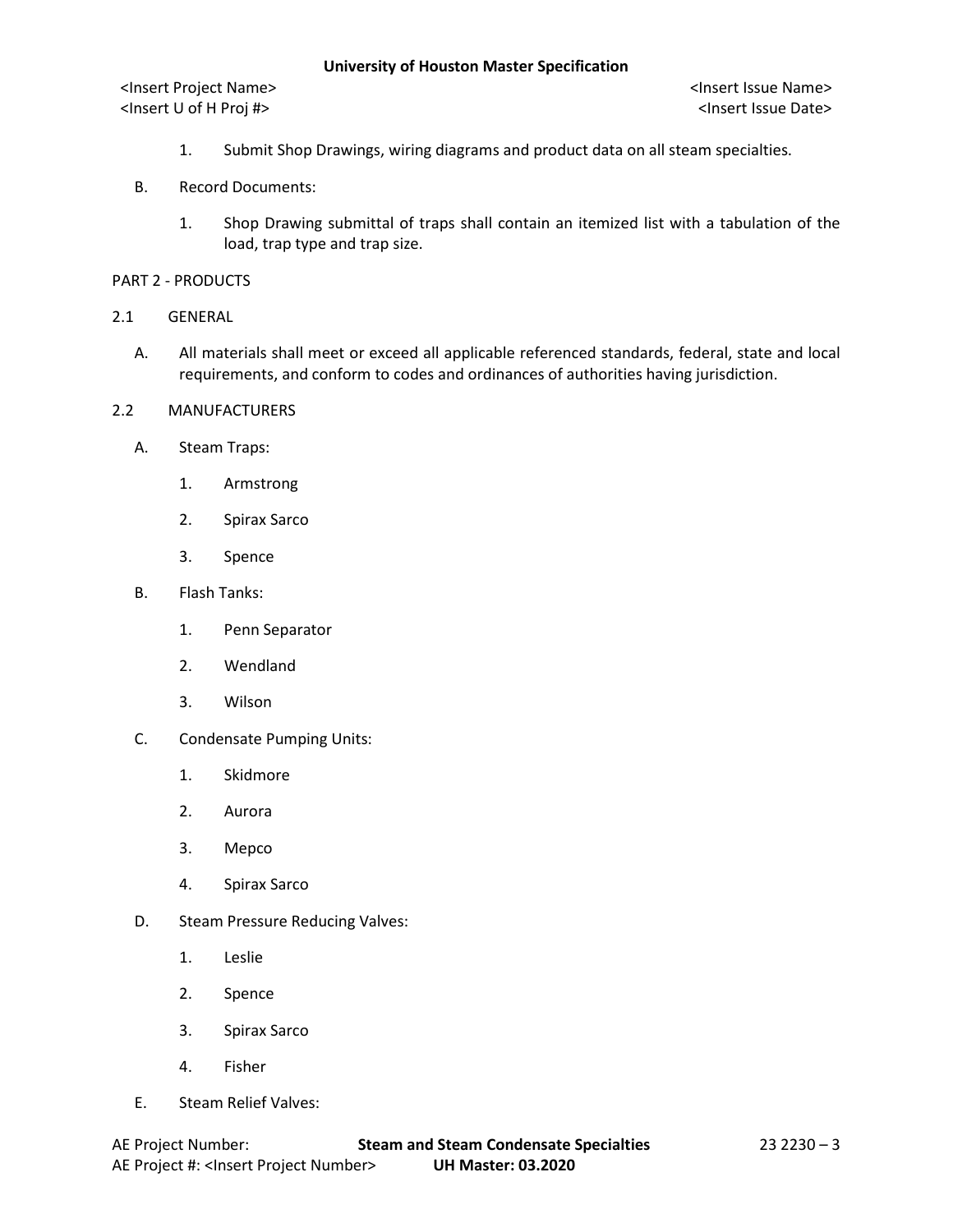- 1. Submit Shop Drawings, wiring diagrams and product data on all steam specialties.
- B. Record Documents:
	- 1. Shop Drawing submittal of traps shall contain an itemized list with a tabulation of the load, trap type and trap size.
- PART 2 PRODUCTS
- 2.1 GENERAL
	- A. All materials shall meet or exceed all applicable referenced standards, federal, state and local requirements, and conform to codes and ordinances of authorities having jurisdiction.
- 2.2 MANUFACTURERS
	- A. Steam Traps:
		- 1. Armstrong
		- 2. Spirax Sarco
		- 3. Spence
	- B. Flash Tanks:
		- 1. Penn Separator
		- 2. Wendland
		- 3. Wilson
	- C. Condensate Pumping Units:
		- 1. Skidmore
		- 2. Aurora
		- 3. Mepco
		- 4. Spirax Sarco
	- D. Steam Pressure Reducing Valves:
		- 1. Leslie
		- 2. Spence
		- 3. Spirax Sarco
		- 4. Fisher
	- E. Steam Relief Valves: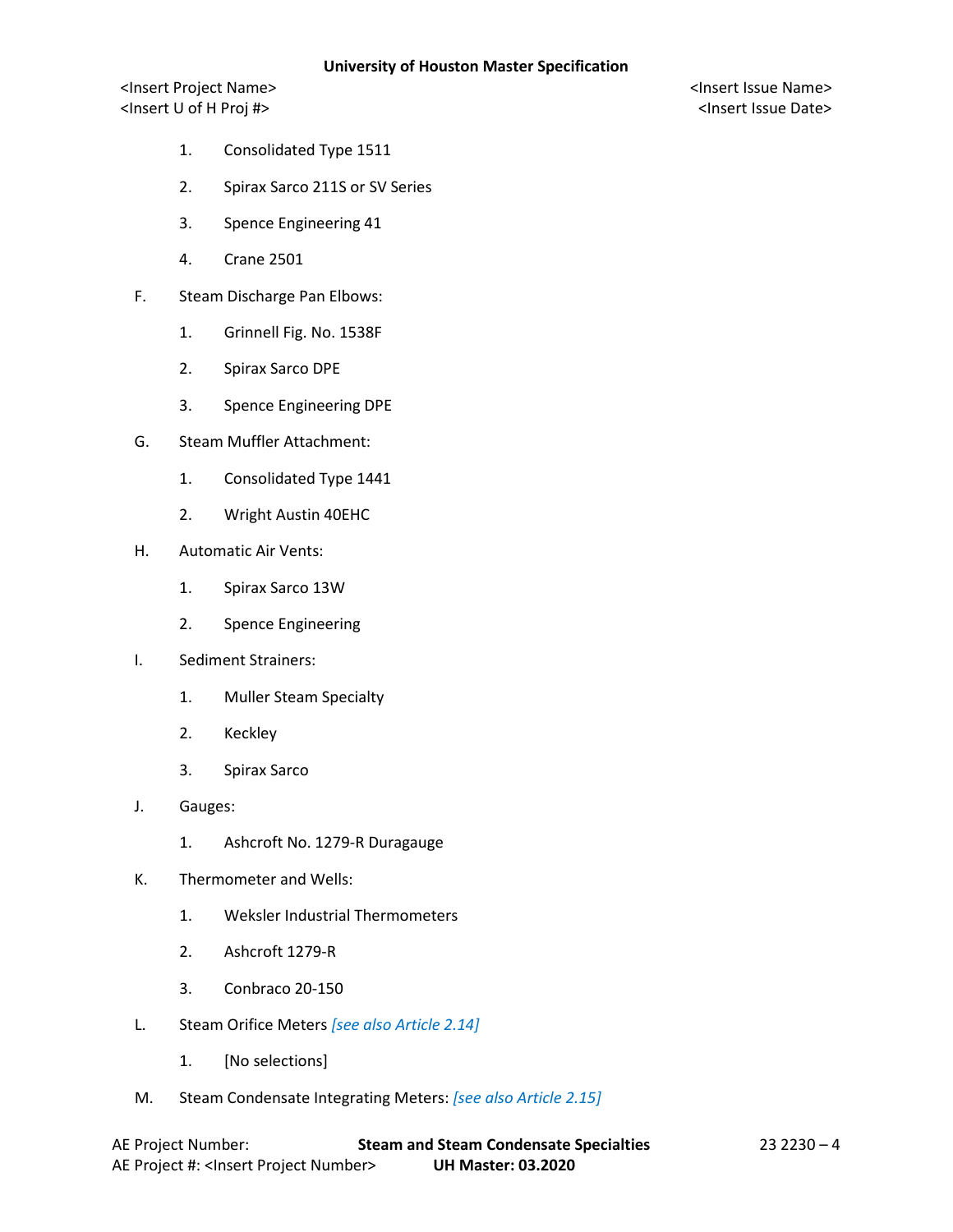- 1. Consolidated Type 1511
- 2. Spirax Sarco 211S or SV Series
- 3. Spence Engineering 41
- 4. Crane 2501
- F. Steam Discharge Pan Elbows:
	- 1. Grinnell Fig. No. 1538F
	- 2. Spirax Sarco DPE
	- 3. Spence Engineering DPE
- G. Steam Muffler Attachment:
	- 1. Consolidated Type 1441
	- 2. Wright Austin 40EHC
- H. Automatic Air Vents:
	- 1. Spirax Sarco 13W
	- 2. Spence Engineering
- I. Sediment Strainers:
	- 1. Muller Steam Specialty
	- 2. Keckley
	- 3. Spirax Sarco
- J. Gauges:
	- 1. Ashcroft No. 1279-R Duragauge
- K. Thermometer and Wells:
	- 1. Weksler Industrial Thermometers
	- 2. Ashcroft 1279-R
	- 3. Conbraco 20-150
- L. Steam Orifice Meters *[see also Article 2.14]*
	- 1. [No selections]
- M. Steam Condensate Integrating Meters: *[see also Article 2.15]*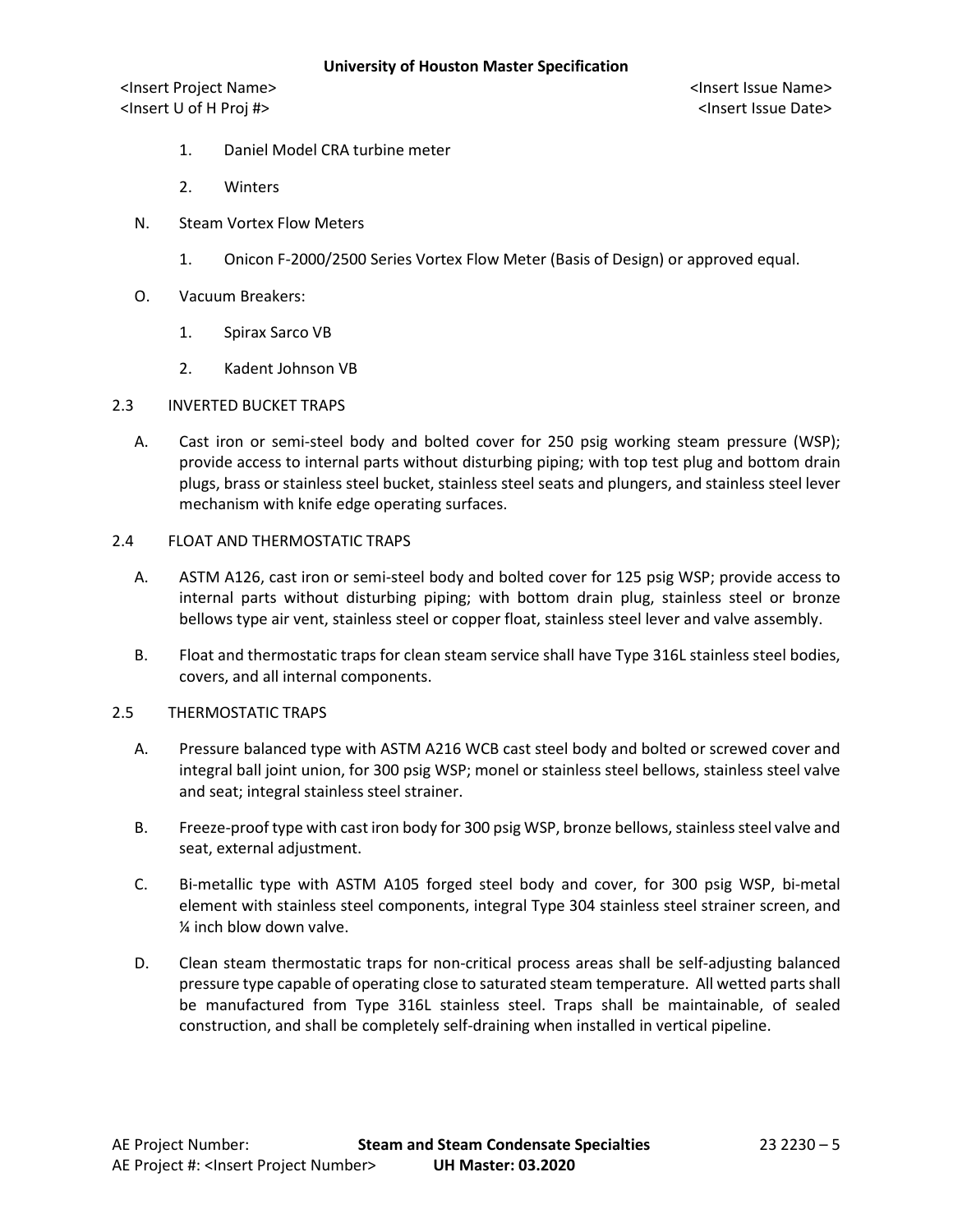- 1. Daniel Model CRA turbine meter
- 2. Winters
- N. Steam Vortex Flow Meters
	- 1. Onicon F-2000/2500 Series Vortex Flow Meter (Basis of Design) or approved equal.
- O. Vacuum Breakers:
	- 1. Spirax Sarco VB
	- 2. Kadent Johnson VB
- 2.3 INVERTED BUCKET TRAPS
	- A. Cast iron or semi-steel body and bolted cover for 250 psig working steam pressure (WSP); provide access to internal parts without disturbing piping; with top test plug and bottom drain plugs, brass or stainless steel bucket, stainless steel seats and plungers, and stainless steel lever mechanism with knife edge operating surfaces.
- 2.4 FLOAT AND THERMOSTATIC TRAPS
	- A. ASTM A126, cast iron or semi-steel body and bolted cover for 125 psig WSP; provide access to internal parts without disturbing piping; with bottom drain plug, stainless steel or bronze bellows type air vent, stainless steel or copper float, stainless steel lever and valve assembly.
	- B. Float and thermostatic traps for clean steam service shall have Type 316L stainless steel bodies, covers, and all internal components.
- 2.5 THERMOSTATIC TRAPS
	- A. Pressure balanced type with ASTM A216 WCB cast steel body and bolted or screwed cover and integral ball joint union, for 300 psig WSP; monel or stainless steel bellows, stainless steel valve and seat; integral stainless steel strainer.
	- B. Freeze-proof type with cast iron body for 300 psig WSP, bronze bellows, stainless steel valve and seat, external adjustment.
	- C. Bi-metallic type with ASTM A105 forged steel body and cover, for 300 psig WSP, bi-metal element with stainless steel components, integral Type 304 stainless steel strainer screen, and ¼ inch blow down valve.
	- D. Clean steam thermostatic traps for non-critical process areas shall be self-adjusting balanced pressure type capable of operating close to saturated steam temperature. All wetted parts shall be manufactured from Type 316L stainless steel. Traps shall be maintainable, of sealed construction, and shall be completely self-draining when installed in vertical pipeline.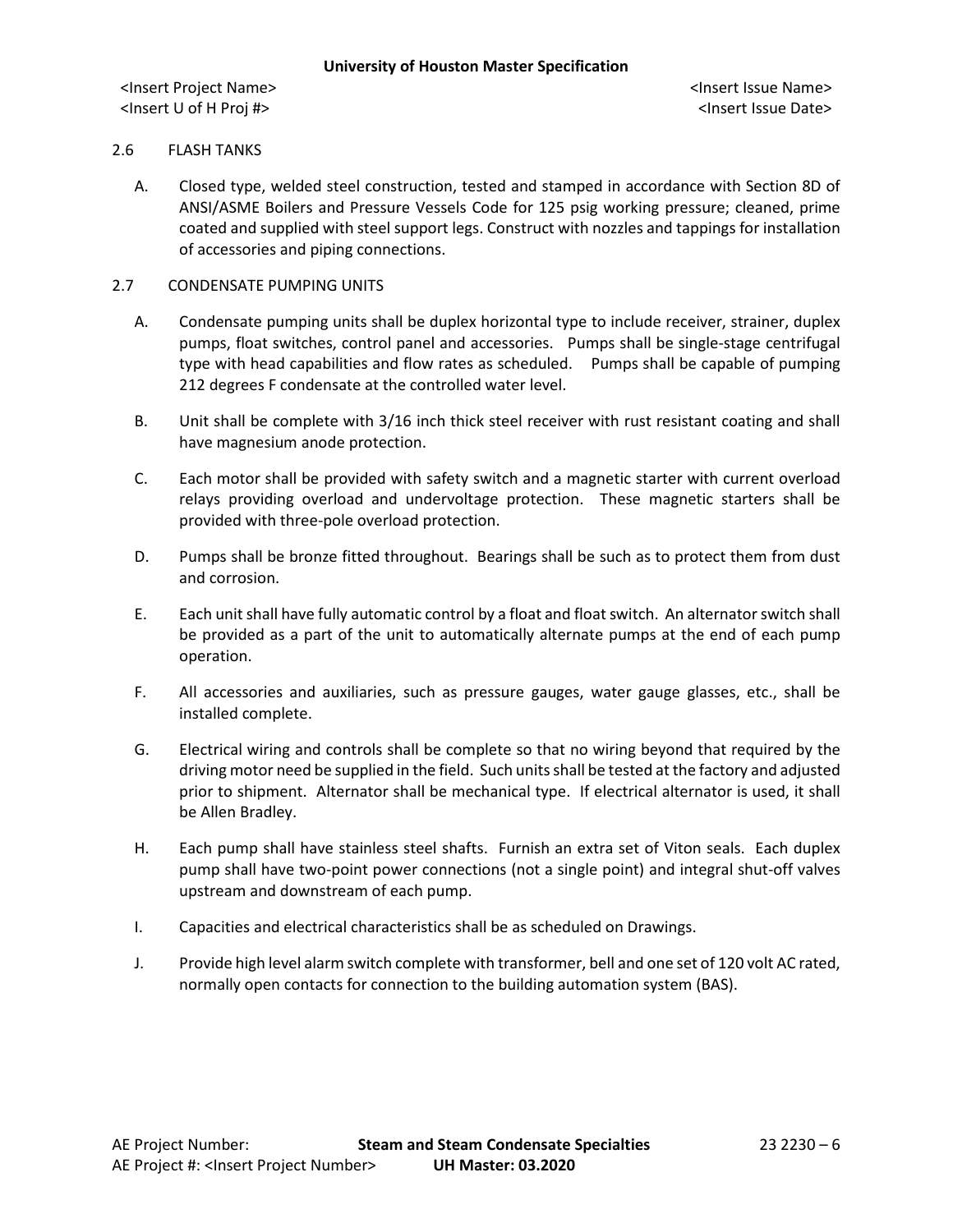## 2.6 FLASH TANKS

A. Closed type, welded steel construction, tested and stamped in accordance with Section 8D of ANSI/ASME Boilers and Pressure Vessels Code for 125 psig working pressure; cleaned, prime coated and supplied with steel support legs. Construct with nozzles and tappings for installation of accessories and piping connections.

## 2.7 CONDENSATE PUMPING UNITS

- A. Condensate pumping units shall be duplex horizontal type to include receiver, strainer, duplex pumps, float switches, control panel and accessories. Pumps shall be single-stage centrifugal type with head capabilities and flow rates as scheduled. Pumps shall be capable of pumping 212 degrees F condensate at the controlled water level.
- B. Unit shall be complete with 3/16 inch thick steel receiver with rust resistant coating and shall have magnesium anode protection.
- C. Each motor shall be provided with safety switch and a magnetic starter with current overload relays providing overload and undervoltage protection. These magnetic starters shall be provided with three-pole overload protection.
- D. Pumps shall be bronze fitted throughout. Bearings shall be such as to protect them from dust and corrosion.
- E. Each unit shall have fully automatic control by a float and float switch. An alternator switch shall be provided as a part of the unit to automatically alternate pumps at the end of each pump operation.
- F. All accessories and auxiliaries, such as pressure gauges, water gauge glasses, etc., shall be installed complete.
- G. Electrical wiring and controls shall be complete so that no wiring beyond that required by the driving motor need be supplied in the field. Such units shall be tested at the factory and adjusted prior to shipment. Alternator shall be mechanical type. If electrical alternator is used, it shall be Allen Bradley.
- H. Each pump shall have stainless steel shafts. Furnish an extra set of Viton seals. Each duplex pump shall have two-point power connections (not a single point) and integral shut-off valves upstream and downstream of each pump.
- I. Capacities and electrical characteristics shall be as scheduled on Drawings.
- J. Provide high level alarm switch complete with transformer, bell and one set of 120 volt AC rated, normally open contacts for connection to the building automation system (BAS).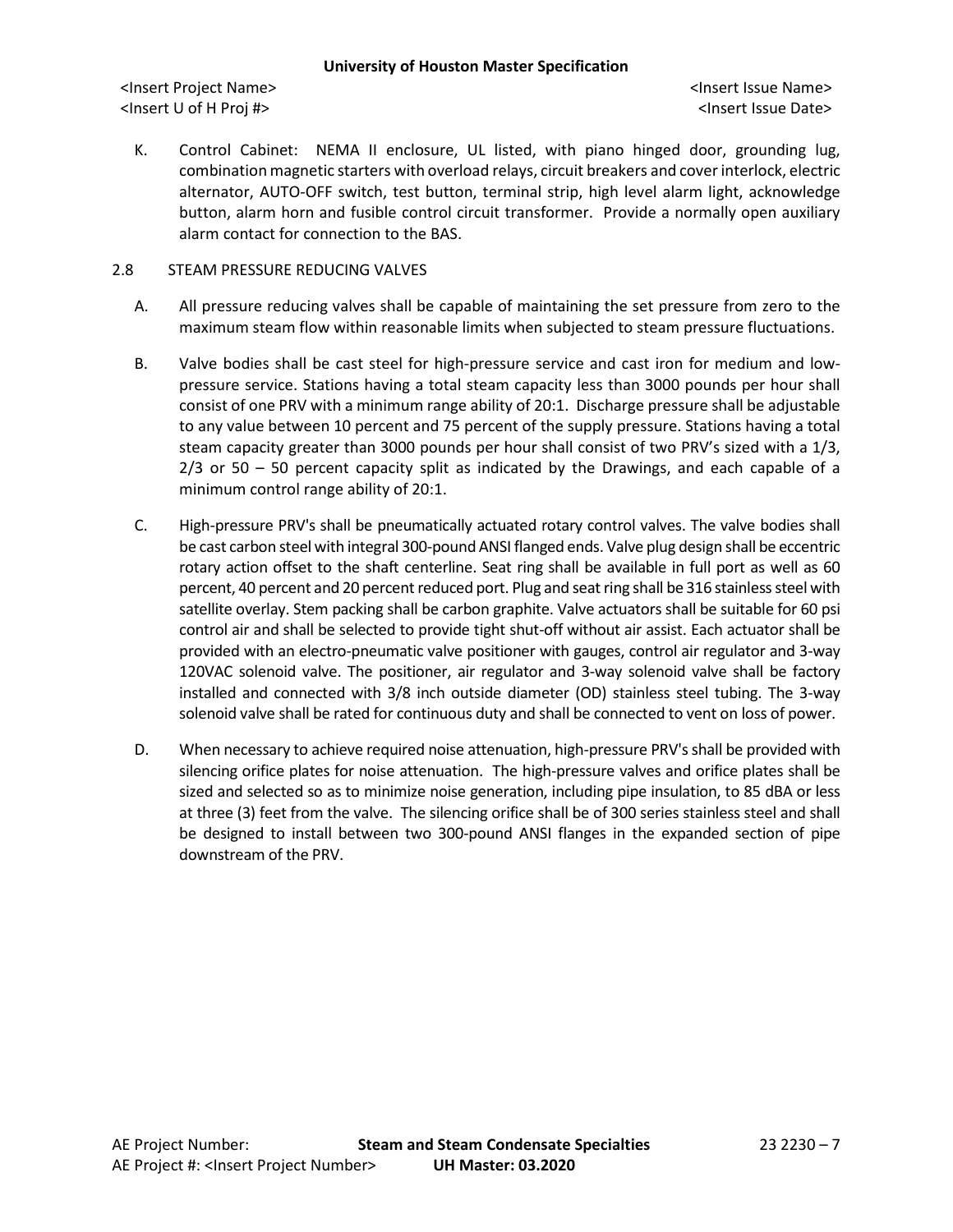<Insert Project Name> <Insert Issue Name> <Insert U of H Proj #> <Insert Issue Date>

K. Control Cabinet: NEMA II enclosure, UL listed, with piano hinged door, grounding lug, combination magnetic starters with overload relays, circuit breakers and cover interlock, electric alternator, AUTO-OFF switch, test button, terminal strip, high level alarm light, acknowledge button, alarm horn and fusible control circuit transformer. Provide a normally open auxiliary alarm contact for connection to the BAS.

## 2.8 STEAM PRESSURE REDUCING VALVES

- A. All pressure reducing valves shall be capable of maintaining the set pressure from zero to the maximum steam flow within reasonable limits when subjected to steam pressure fluctuations.
- B. Valve bodies shall be cast steel for high-pressure service and cast iron for medium and lowpressure service. Stations having a total steam capacity less than 3000 pounds per hour shall consist of one PRV with a minimum range ability of 20:1. Discharge pressure shall be adjustable to any value between 10 percent and 75 percent of the supply pressure. Stations having a total steam capacity greater than 3000 pounds per hour shall consist of two PRV's sized with a 1/3,  $2/3$  or 50 – 50 percent capacity split as indicated by the Drawings, and each capable of a minimum control range ability of 20:1.
- C. High-pressure PRV's shall be pneumatically actuated rotary control valves. The valve bodies shall be cast carbon steel with integral 300-pound ANSI flanged ends. Valve plug design shall be eccentric rotary action offset to the shaft centerline. Seat ring shall be available in full port as well as 60 percent, 40 percent and 20 percent reduced port. Plug and seat ring shall be 316 stainless steel with satellite overlay. Stem packing shall be carbon graphite. Valve actuators shall be suitable for 60 psi control air and shall be selected to provide tight shut-off without air assist. Each actuator shall be provided with an electro-pneumatic valve positioner with gauges, control air regulator and 3-way 120VAC solenoid valve. The positioner, air regulator and 3-way solenoid valve shall be factory installed and connected with 3/8 inch outside diameter (OD) stainless steel tubing. The 3-way solenoid valve shall be rated for continuous duty and shall be connected to vent on loss of power.
- D. When necessary to achieve required noise attenuation, high-pressure PRV's shall be provided with silencing orifice plates for noise attenuation. The high-pressure valves and orifice plates shall be sized and selected so as to minimize noise generation, including pipe insulation, to 85 dBA or less at three (3) feet from the valve. The silencing orifice shall be of 300 series stainless steel and shall be designed to install between two 300-pound ANSI flanges in the expanded section of pipe downstream of the PRV.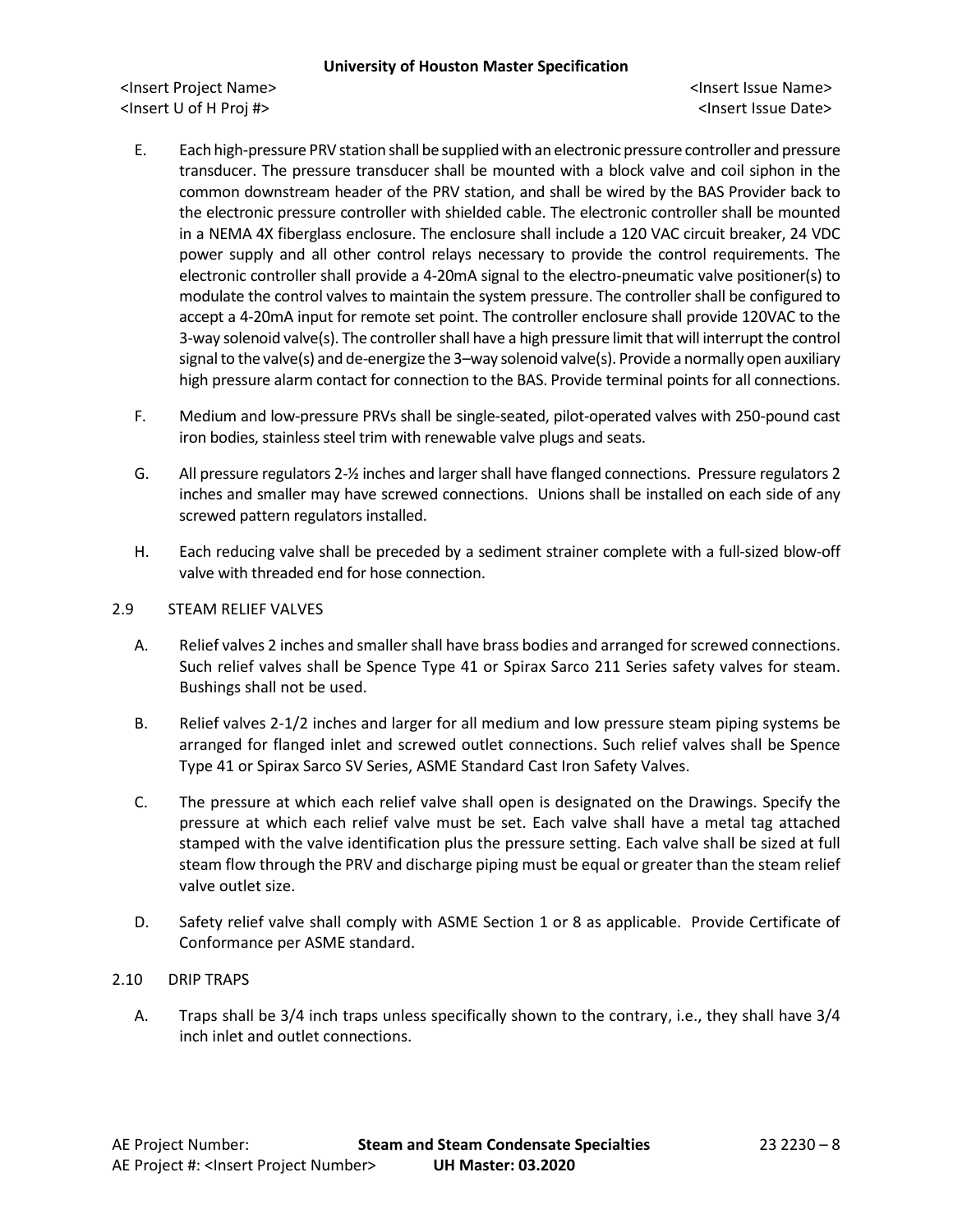- E. Each high-pressure PRV station shall be supplied with an electronic pressure controller and pressure transducer. The pressure transducer shall be mounted with a block valve and coil siphon in the common downstream header of the PRV station, and shall be wired by the BAS Provider back to the electronic pressure controller with shielded cable. The electronic controller shall be mounted in a NEMA 4X fiberglass enclosure. The enclosure shall include a 120 VAC circuit breaker, 24 VDC power supply and all other control relays necessary to provide the control requirements. The electronic controller shall provide a 4-20mA signal to the electro-pneumatic valve positioner(s) to modulate the control valves to maintain the system pressure. The controller shall be configured to accept a 4-20mA input for remote set point. The controller enclosure shall provide 120VAC to the 3-way solenoid valve(s). The controller shall have a high pressure limit that will interrupt the control signal to the valve(s) and de-energize the 3–way solenoid valve(s). Provide a normally open auxiliary high pressure alarm contact for connection to the BAS. Provide terminal points for all connections.
- F. Medium and low-pressure PRVs shall be single-seated, pilot-operated valves with 250-pound cast iron bodies, stainless steel trim with renewable valve plugs and seats.
- G. All pressure regulators 2-½ inches and larger shall have flanged connections. Pressure regulators 2 inches and smaller may have screwed connections. Unions shall be installed on each side of any screwed pattern regulators installed.
- H. Each reducing valve shall be preceded by a sediment strainer complete with a full-sized blow-off valve with threaded end for hose connection.
- 2.9 STEAM RELIEF VALVES
	- A. Relief valves 2 inches and smaller shall have brass bodies and arranged for screwed connections. Such relief valves shall be Spence Type 41 or Spirax Sarco 211 Series safety valves for steam. Bushings shall not be used.
	- B. Relief valves 2-1/2 inches and larger for all medium and low pressure steam piping systems be arranged for flanged inlet and screwed outlet connections. Such relief valves shall be Spence Type 41 or Spirax Sarco SV Series, ASME Standard Cast Iron Safety Valves.
	- C. The pressure at which each relief valve shall open is designated on the Drawings. Specify the pressure at which each relief valve must be set. Each valve shall have a metal tag attached stamped with the valve identification plus the pressure setting. Each valve shall be sized at full steam flow through the PRV and discharge piping must be equal or greater than the steam relief valve outlet size.
	- D. Safety relief valve shall comply with ASME Section 1 or 8 as applicable. Provide Certificate of Conformance per ASME standard.
- 2.10 DRIP TRAPS
	- A. Traps shall be 3/4 inch traps unless specifically shown to the contrary, i.e., they shall have 3/4 inch inlet and outlet connections.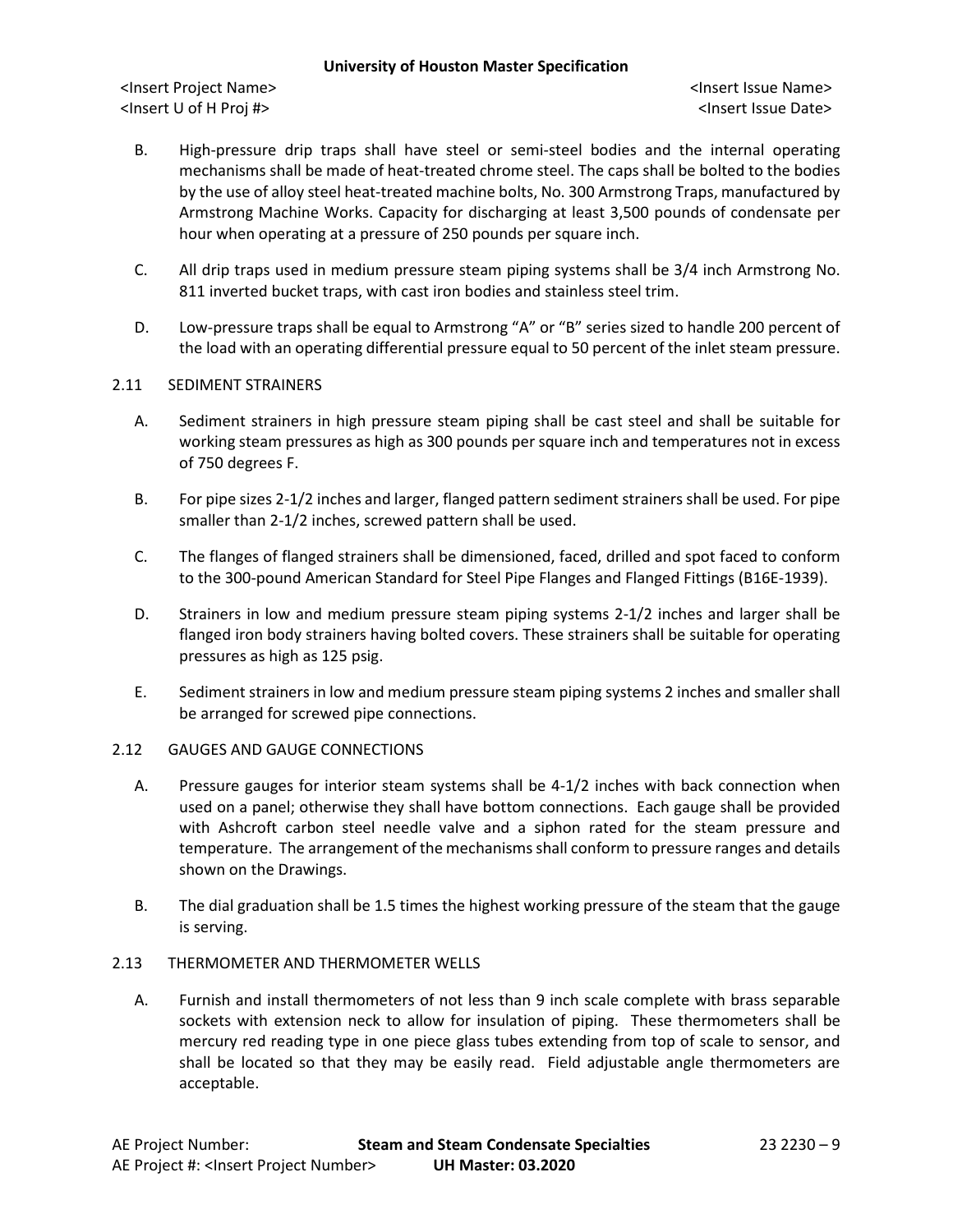<Insert Project Name> <Insert Issue Name> <Insert U of H Proj #> <Insert Issue Date>

- B. High-pressure drip traps shall have steel or semi-steel bodies and the internal operating mechanisms shall be made of heat-treated chrome steel. The caps shall be bolted to the bodies by the use of alloy steel heat-treated machine bolts, No. 300 Armstrong Traps, manufactured by Armstrong Machine Works. Capacity for discharging at least 3,500 pounds of condensate per hour when operating at a pressure of 250 pounds per square inch.
- C. All drip traps used in medium pressure steam piping systems shall be 3/4 inch Armstrong No. 811 inverted bucket traps, with cast iron bodies and stainless steel trim.
- D. Low-pressure traps shall be equal to Armstrong "A" or "B" series sized to handle 200 percent of the load with an operating differential pressure equal to 50 percent of the inlet steam pressure.

## 2.11 SEDIMENT STRAINERS

- A. Sediment strainers in high pressure steam piping shall be cast steel and shall be suitable for working steam pressures as high as 300 pounds per square inch and temperatures not in excess of 750 degrees F.
- B. For pipe sizes 2-1/2 inches and larger, flanged pattern sediment strainers shall be used. For pipe smaller than 2-1/2 inches, screwed pattern shall be used.
- C. The flanges of flanged strainers shall be dimensioned, faced, drilled and spot faced to conform to the 300-pound American Standard for Steel Pipe Flanges and Flanged Fittings (B16E-1939).
- D. Strainers in low and medium pressure steam piping systems 2-1/2 inches and larger shall be flanged iron body strainers having bolted covers. These strainers shall be suitable for operating pressures as high as 125 psig.
- E. Sediment strainers in low and medium pressure steam piping systems 2 inches and smaller shall be arranged for screwed pipe connections.

### 2.12 GAUGES AND GAUGE CONNECTIONS

- A. Pressure gauges for interior steam systems shall be 4-1/2 inches with back connection when used on a panel; otherwise they shall have bottom connections. Each gauge shall be provided with Ashcroft carbon steel needle valve and a siphon rated for the steam pressure and temperature. The arrangement of the mechanisms shall conform to pressure ranges and details shown on the Drawings.
- B. The dial graduation shall be 1.5 times the highest working pressure of the steam that the gauge is serving.

### 2.13 THERMOMETER AND THERMOMETER WELLS

A. Furnish and install thermometers of not less than 9 inch scale complete with brass separable sockets with extension neck to allow for insulation of piping. These thermometers shall be mercury red reading type in one piece glass tubes extending from top of scale to sensor, and shall be located so that they may be easily read. Field adjustable angle thermometers are acceptable.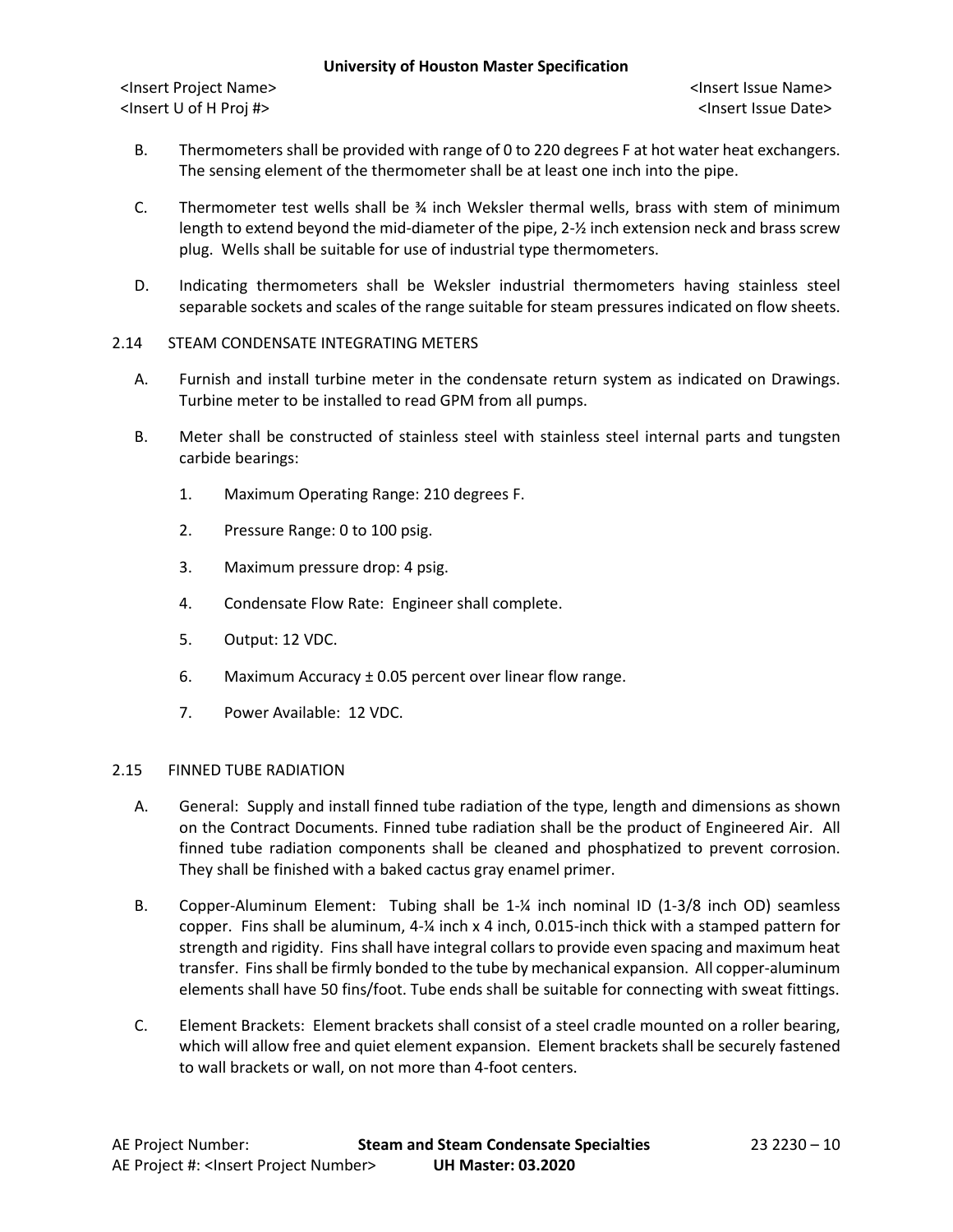<Insert Project Name> <Insert Issue Name> <Insert U of H Proj #> <Insert Issue Date>

- B. Thermometers shall be provided with range of 0 to 220 degrees F at hot water heat exchangers. The sensing element of the thermometer shall be at least one inch into the pipe.
- C. Thermometer test wells shall be  $\frac{3}{4}$  inch Weksler thermal wells, brass with stem of minimum length to extend beyond the mid-diameter of the pipe, 2-½ inch extension neck and brass screw plug. Wells shall be suitable for use of industrial type thermometers.
- D. Indicating thermometers shall be Weksler industrial thermometers having stainless steel separable sockets and scales of the range suitable for steam pressures indicated on flow sheets.
- 2.14 STEAM CONDENSATE INTEGRATING METERS
	- A. Furnish and install turbine meter in the condensate return system as indicated on Drawings. Turbine meter to be installed to read GPM from all pumps.
	- B. Meter shall be constructed of stainless steel with stainless steel internal parts and tungsten carbide bearings:
		- 1. Maximum Operating Range: 210 degrees F.
		- 2. Pressure Range: 0 to 100 psig.
		- 3. Maximum pressure drop: 4 psig.
		- 4. Condensate Flow Rate: Engineer shall complete.
		- 5. Output: 12 VDC.
		- 6. Maximum Accuracy  $\pm$  0.05 percent over linear flow range.
		- 7. Power Available: 12 VDC.

## 2.15 FINNED TUBE RADIATION

- A. General: Supply and install finned tube radiation of the type, length and dimensions as shown on the Contract Documents. Finned tube radiation shall be the product of Engineered Air. All finned tube radiation components shall be cleaned and phosphatized to prevent corrosion. They shall be finished with a baked cactus gray enamel primer.
- B. Copper-Aluminum Element: Tubing shall be 1-¼ inch nominal ID (1-3/8 inch OD) seamless copper. Fins shall be aluminum, 4-¼ inch x 4 inch, 0.015-inch thick with a stamped pattern for strength and rigidity. Fins shall have integral collars to provide even spacing and maximum heat transfer. Fins shall be firmly bonded to the tube by mechanical expansion. All copper-aluminum elements shall have 50 fins/foot. Tube ends shall be suitable for connecting with sweat fittings.
- C. Element Brackets: Element brackets shall consist of a steel cradle mounted on a roller bearing, which will allow free and quiet element expansion. Element brackets shall be securely fastened to wall brackets or wall, on not more than 4-foot centers.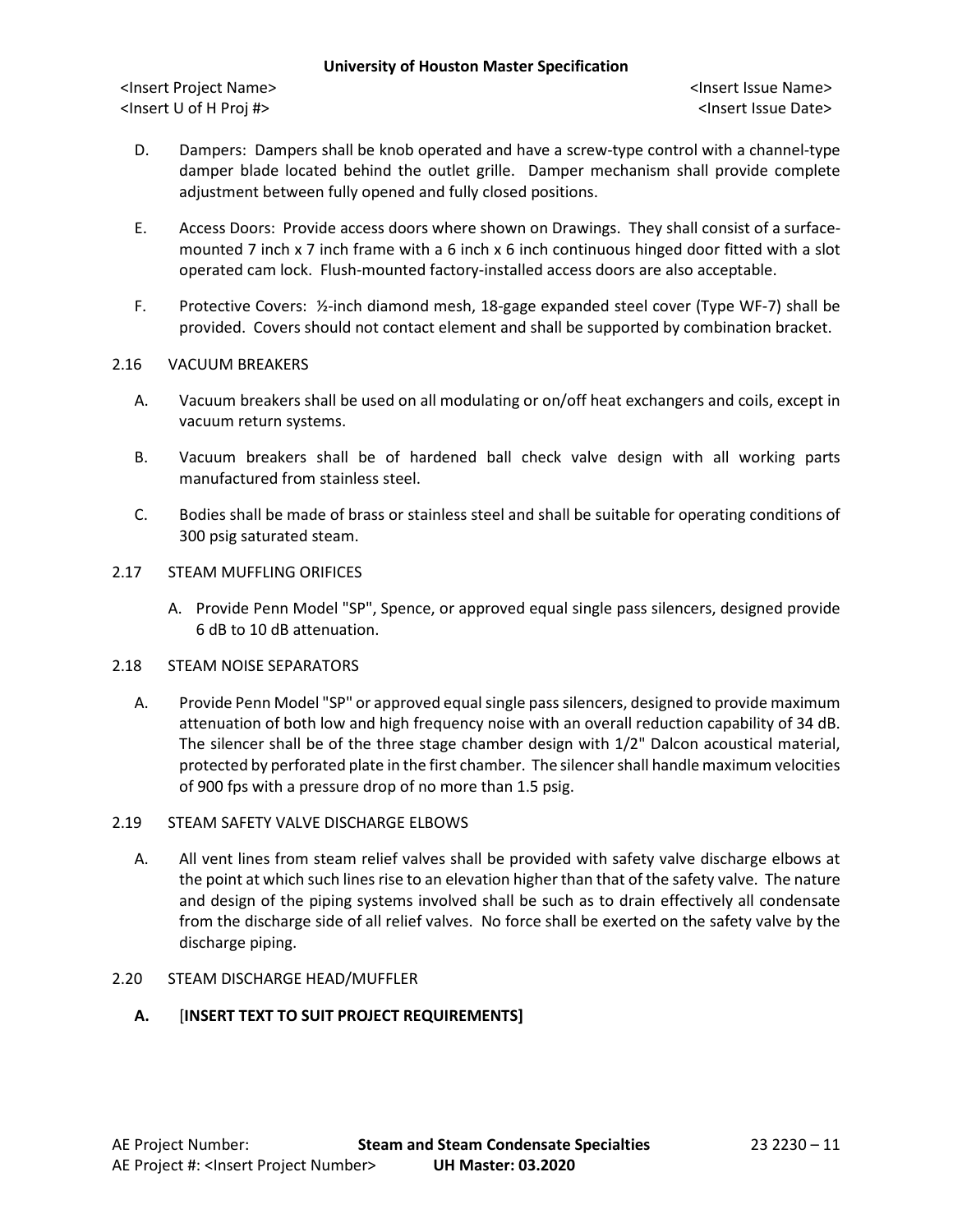<Insert Project Name> <Insert Issue Name> <Insert U of H Proj #> <Insert Issue Date>

- D. Dampers: Dampers shall be knob operated and have a screw-type control with a channel-type damper blade located behind the outlet grille. Damper mechanism shall provide complete adjustment between fully opened and fully closed positions.
- E. Access Doors: Provide access doors where shown on Drawings. They shall consist of a surfacemounted 7 inch x 7 inch frame with a 6 inch x 6 inch continuous hinged door fitted with a slot operated cam lock. Flush-mounted factory-installed access doors are also acceptable.
- F. Protective Covers: ½-inch diamond mesh, 18-gage expanded steel cover (Type WF-7) shall be provided. Covers should not contact element and shall be supported by combination bracket.

## 2.16 VACUUM BREAKERS

- A. Vacuum breakers shall be used on all modulating or on/off heat exchangers and coils, except in vacuum return systems.
- B. Vacuum breakers shall be of hardened ball check valve design with all working parts manufactured from stainless steel.
- C. Bodies shall be made of brass or stainless steel and shall be suitable for operating conditions of 300 psig saturated steam.

## 2.17 STEAM MUFFLING ORIFICES

A. Provide Penn Model "SP", Spence, or approved equal single pass silencers, designed provide 6 dB to 10 dB attenuation.

## 2.18 STEAM NOISE SEPARATORS

A. Provide Penn Model "SP" or approved equal single pass silencers, designed to provide maximum attenuation of both low and high frequency noise with an overall reduction capability of 34 dB. The silencer shall be of the three stage chamber design with 1/2" Dalcon acoustical material, protected by perforated plate in the first chamber. The silencer shall handle maximum velocities of 900 fps with a pressure drop of no more than 1.5 psig.

# 2.19 STEAM SAFETY VALVE DISCHARGE ELBOWS

A. All vent lines from steam relief valves shall be provided with safety valve discharge elbows at the point at which such lines rise to an elevation higher than that of the safety valve. The nature and design of the piping systems involved shall be such as to drain effectively all condensate from the discharge side of all relief valves. No force shall be exerted on the safety valve by the discharge piping.

## 2.20 STEAM DISCHARGE HEAD/MUFFLER

## **A.** [**INSERT TEXT TO SUIT PROJECT REQUIREMENTS]**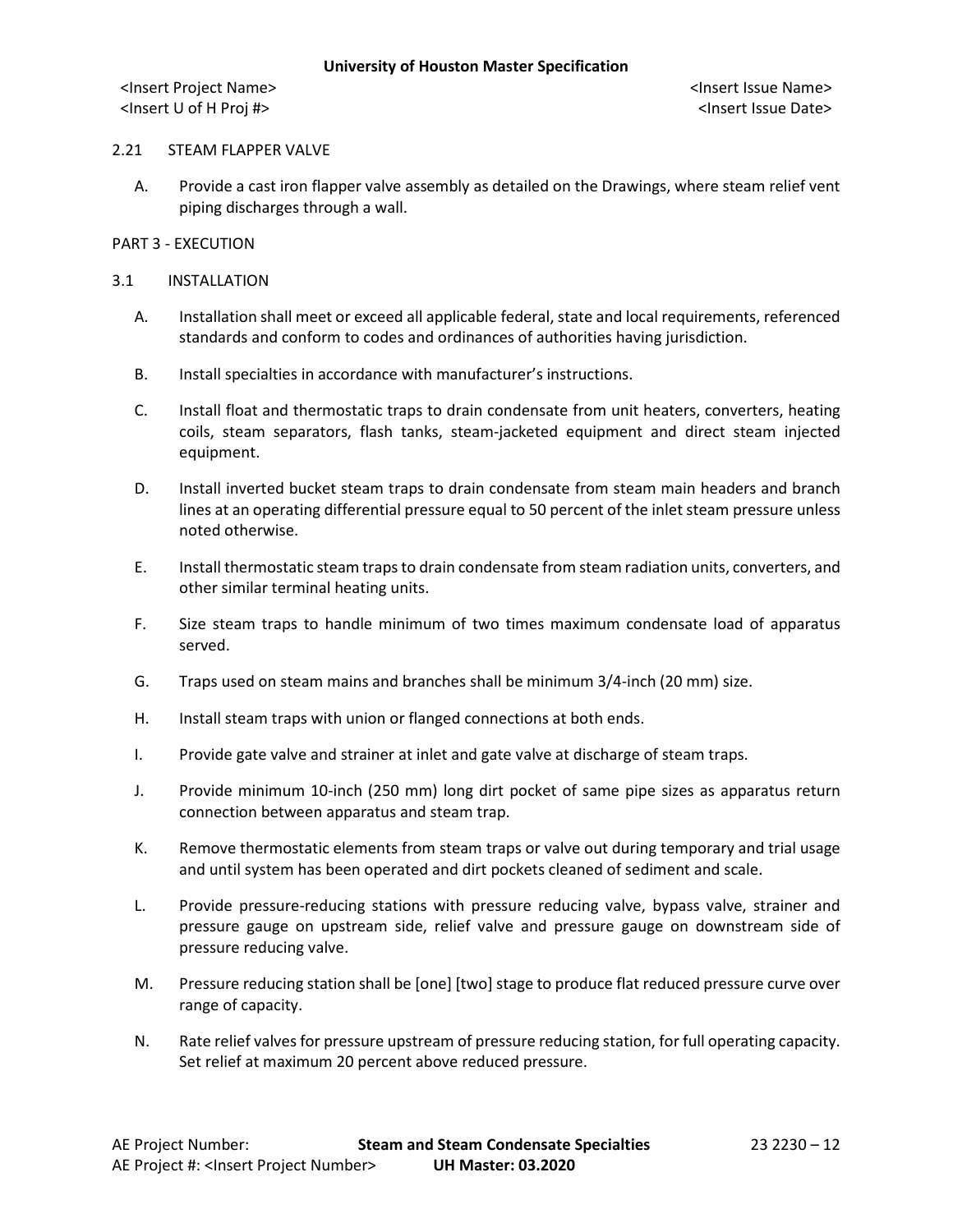### 2.21 STEAM FLAPPER VALVE

A. Provide a cast iron flapper valve assembly as detailed on the Drawings, where steam relief vent piping discharges through a wall.

## PART 3 - EXECUTION

## 3.1 INSTALLATION

- A. Installation shall meet or exceed all applicable federal, state and local requirements, referenced standards and conform to codes and ordinances of authorities having jurisdiction.
- B. Install specialties in accordance with manufacturer's instructions.
- C. Install float and thermostatic traps to drain condensate from unit heaters, converters, heating coils, steam separators, flash tanks, steam-jacketed equipment and direct steam injected equipment.
- D. Install inverted bucket steam traps to drain condensate from steam main headers and branch lines at an operating differential pressure equal to 50 percent of the inlet steam pressure unless noted otherwise.
- E. Install thermostatic steam traps to drain condensate from steam radiation units, converters, and other similar terminal heating units.
- F. Size steam traps to handle minimum of two times maximum condensate load of apparatus served.
- G. Traps used on steam mains and branches shall be minimum 3/4-inch (20 mm) size.
- H. Install steam traps with union or flanged connections at both ends.
- I. Provide gate valve and strainer at inlet and gate valve at discharge of steam traps.
- J. Provide minimum 10-inch (250 mm) long dirt pocket of same pipe sizes as apparatus return connection between apparatus and steam trap.
- K. Remove thermostatic elements from steam traps or valve out during temporary and trial usage and until system has been operated and dirt pockets cleaned of sediment and scale.
- L. Provide pressure-reducing stations with pressure reducing valve, bypass valve, strainer and pressure gauge on upstream side, relief valve and pressure gauge on downstream side of pressure reducing valve.
- M. Pressure reducing station shall be [one] [two] stage to produce flat reduced pressure curve over range of capacity.
- N. Rate relief valves for pressure upstream of pressure reducing station, for full operating capacity. Set relief at maximum 20 percent above reduced pressure.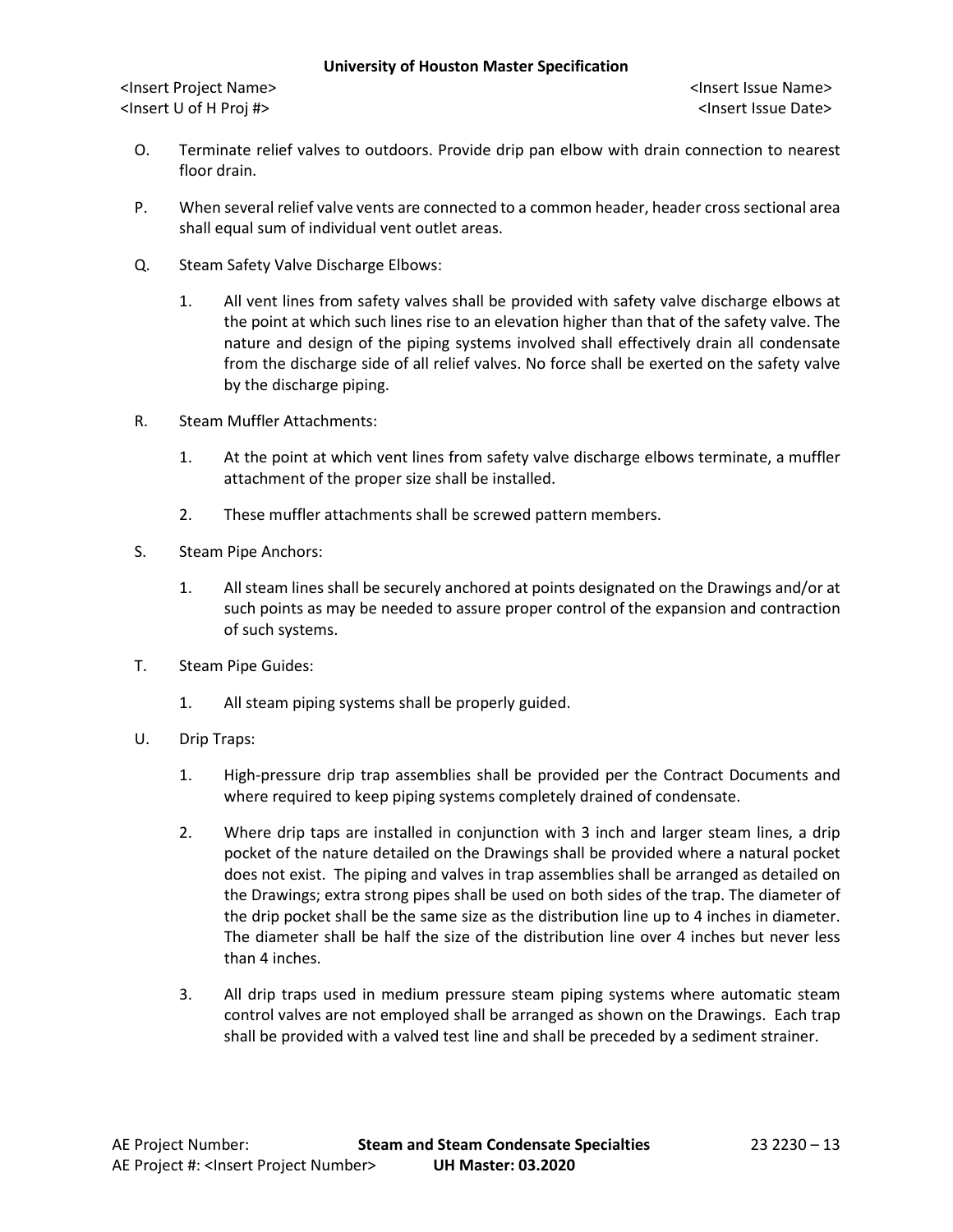- O. Terminate relief valves to outdoors. Provide drip pan elbow with drain connection to nearest floor drain.
- P. When several relief valve vents are connected to a common header, header cross sectional area shall equal sum of individual vent outlet areas.
- Q. Steam Safety Valve Discharge Elbows:
	- 1. All vent lines from safety valves shall be provided with safety valve discharge elbows at the point at which such lines rise to an elevation higher than that of the safety valve. The nature and design of the piping systems involved shall effectively drain all condensate from the discharge side of all relief valves. No force shall be exerted on the safety valve by the discharge piping.
- R. Steam Muffler Attachments:
	- 1. At the point at which vent lines from safety valve discharge elbows terminate, a muffler attachment of the proper size shall be installed.
	- 2. These muffler attachments shall be screwed pattern members.
- S. Steam Pipe Anchors:
	- 1. All steam lines shall be securely anchored at points designated on the Drawings and/or at such points as may be needed to assure proper control of the expansion and contraction of such systems.
- T. Steam Pipe Guides:
	- 1. All steam piping systems shall be properly guided.
- U. Drip Traps:
	- 1. High-pressure drip trap assemblies shall be provided per the Contract Documents and where required to keep piping systems completely drained of condensate.
	- 2. Where drip taps are installed in conjunction with 3 inch and larger steam lines, a drip pocket of the nature detailed on the Drawings shall be provided where a natural pocket does not exist. The piping and valves in trap assemblies shall be arranged as detailed on the Drawings; extra strong pipes shall be used on both sides of the trap. The diameter of the drip pocket shall be the same size as the distribution line up to 4 inches in diameter. The diameter shall be half the size of the distribution line over 4 inches but never less than 4 inches.
	- 3. All drip traps used in medium pressure steam piping systems where automatic steam control valves are not employed shall be arranged as shown on the Drawings. Each trap shall be provided with a valved test line and shall be preceded by a sediment strainer.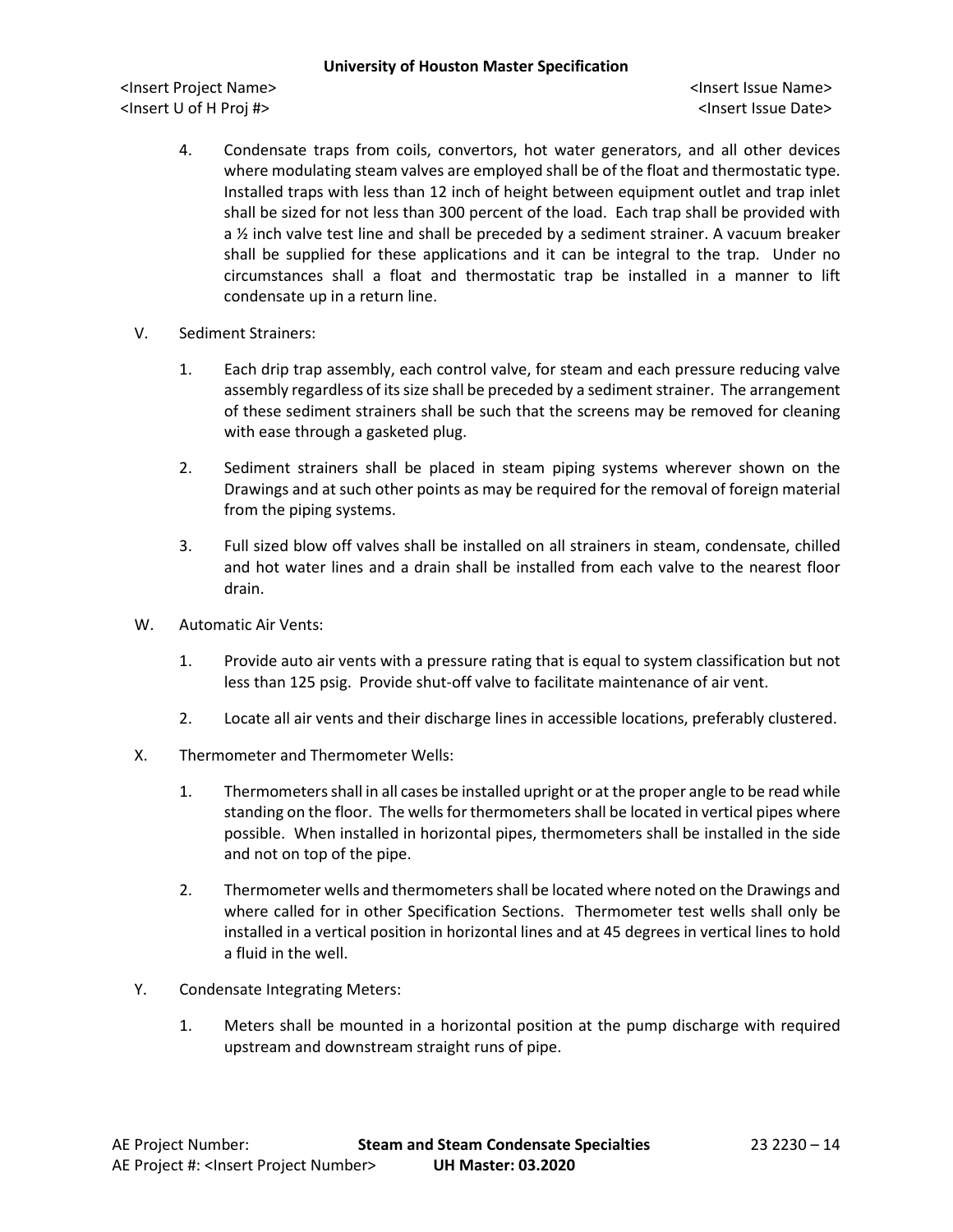- 4. Condensate traps from coils, convertors, hot water generators, and all other devices where modulating steam valves are employed shall be of the float and thermostatic type. Installed traps with less than 12 inch of height between equipment outlet and trap inlet shall be sized for not less than 300 percent of the load. Each trap shall be provided with a  $\frac{1}{2}$  inch valve test line and shall be preceded by a sediment strainer. A vacuum breaker shall be supplied for these applications and it can be integral to the trap. Under no circumstances shall a float and thermostatic trap be installed in a manner to lift condensate up in a return line.
- V. Sediment Strainers:
	- 1. Each drip trap assembly, each control valve, for steam and each pressure reducing valve assembly regardless of its size shall be preceded by a sediment strainer. The arrangement of these sediment strainers shall be such that the screens may be removed for cleaning with ease through a gasketed plug.
	- 2. Sediment strainers shall be placed in steam piping systems wherever shown on the Drawings and at such other points as may be required for the removal of foreign material from the piping systems.
	- 3. Full sized blow off valves shall be installed on all strainers in steam, condensate, chilled and hot water lines and a drain shall be installed from each valve to the nearest floor drain.
- W. Automatic Air Vents:
	- 1. Provide auto air vents with a pressure rating that is equal to system classification but not less than 125 psig. Provide shut-off valve to facilitate maintenance of air vent.
	- 2. Locate all air vents and their discharge lines in accessible locations, preferably clustered.
- X. Thermometer and Thermometer Wells:
	- 1. Thermometers shall in all cases be installed upright or at the proper angle to be read while standing on the floor. The wells for thermometers shall be located in vertical pipes where possible. When installed in horizontal pipes, thermometers shall be installed in the side and not on top of the pipe.
	- 2. Thermometer wells and thermometers shall be located where noted on the Drawings and where called for in other Specification Sections. Thermometer test wells shall only be installed in a vertical position in horizontal lines and at 45 degrees in vertical lines to hold a fluid in the well.
- Y. Condensate Integrating Meters:
	- 1. Meters shall be mounted in a horizontal position at the pump discharge with required upstream and downstream straight runs of pipe.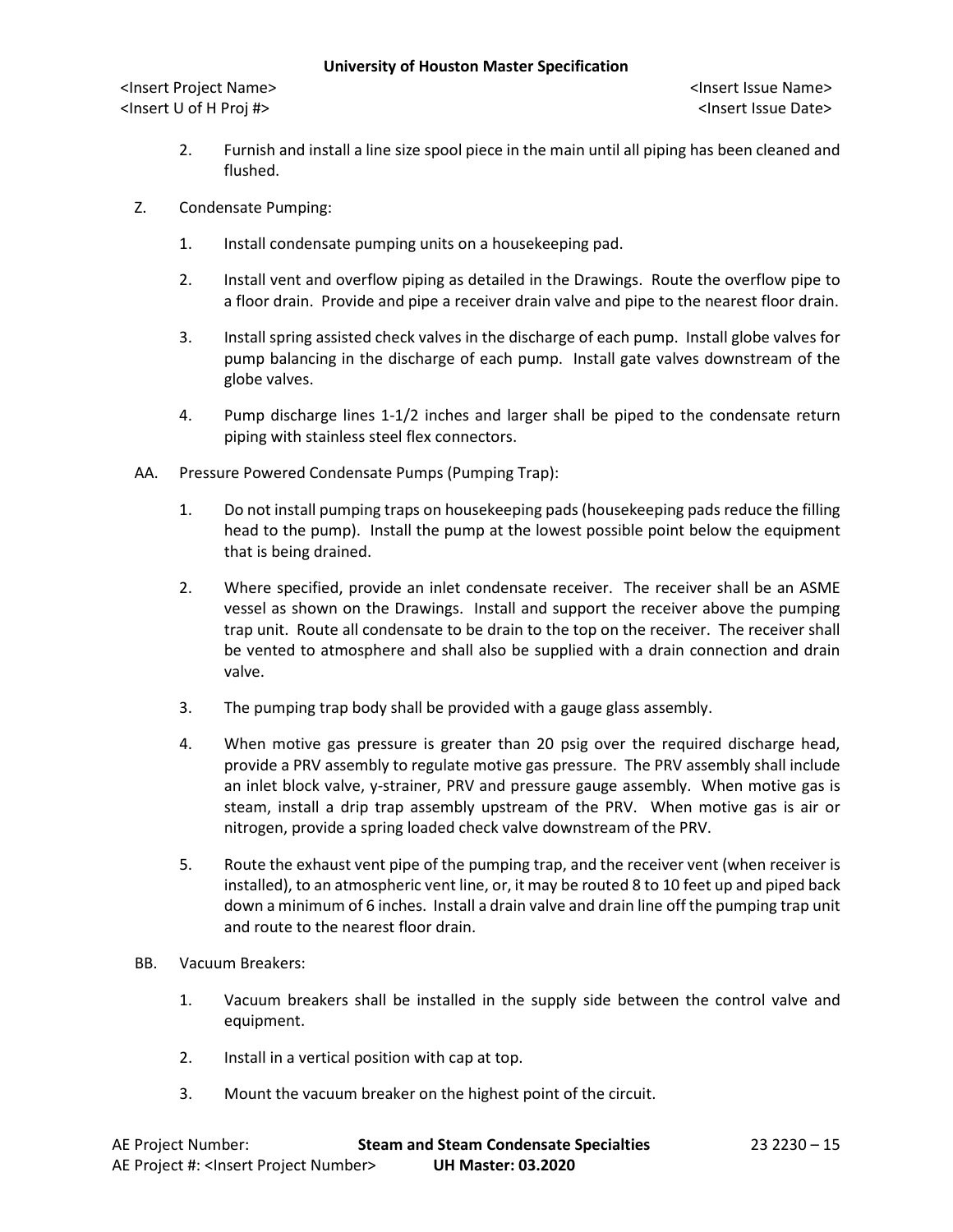- 2. Furnish and install a line size spool piece in the main until all piping has been cleaned and flushed.
- Z. Condensate Pumping:
	- 1. Install condensate pumping units on a housekeeping pad.
	- 2. Install vent and overflow piping as detailed in the Drawings. Route the overflow pipe to a floor drain. Provide and pipe a receiver drain valve and pipe to the nearest floor drain.
	- 3. Install spring assisted check valves in the discharge of each pump. Install globe valves for pump balancing in the discharge of each pump. Install gate valves downstream of the globe valves.
	- 4. Pump discharge lines 1-1/2 inches and larger shall be piped to the condensate return piping with stainless steel flex connectors.
- AA. Pressure Powered Condensate Pumps (Pumping Trap):
	- 1. Do not install pumping traps on housekeeping pads (housekeeping pads reduce the filling head to the pump). Install the pump at the lowest possible point below the equipment that is being drained.
	- 2. Where specified, provide an inlet condensate receiver. The receiver shall be an ASME vessel as shown on the Drawings. Install and support the receiver above the pumping trap unit. Route all condensate to be drain to the top on the receiver. The receiver shall be vented to atmosphere and shall also be supplied with a drain connection and drain valve.
	- 3. The pumping trap body shall be provided with a gauge glass assembly.
	- 4. When motive gas pressure is greater than 20 psig over the required discharge head, provide a PRV assembly to regulate motive gas pressure. The PRV assembly shall include an inlet block valve, y-strainer, PRV and pressure gauge assembly. When motive gas is steam, install a drip trap assembly upstream of the PRV. When motive gas is air or nitrogen, provide a spring loaded check valve downstream of the PRV.
	- 5. Route the exhaust vent pipe of the pumping trap, and the receiver vent (when receiver is installed), to an atmospheric vent line, or, it may be routed 8 to 10 feet up and piped back down a minimum of 6 inches. Install a drain valve and drain line off the pumping trap unit and route to the nearest floor drain.
- BB. Vacuum Breakers:
	- 1. Vacuum breakers shall be installed in the supply side between the control valve and equipment.
	- 2. Install in a vertical position with cap at top.
	- 3. Mount the vacuum breaker on the highest point of the circuit.